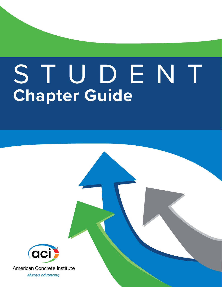# **Chapter Guide**  STUDENT



**American Concrete Institute** 

Always advancing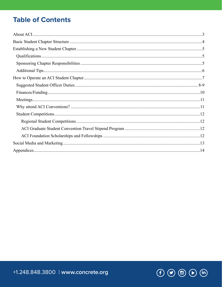## **Table of Contents**

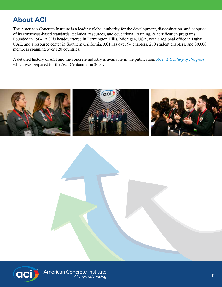# **About ACI**

The American Concrete Institute is a leading global authority for the development, dissemination, and adoption of its consensus-based standards, technical resources, and educational, training, & certification programs. Founded in 1904, ACI is headquartered in Farmington Hills, Michigan, USA, with a regional office in Dubai, UAE, and a resource center in Southern California. ACI has over 94 chapters, 260 student chapters, and 30,000 members spanning over 120 countries.

A detailed history of ACI and the concrete industry is available in the publication, *[ACI: A Century of Progress](https://www.concrete.org/Portals/0/Files/PDF/ACI_History_Book.pdf)*, which was prepared for the ACI Centennial in 2004.



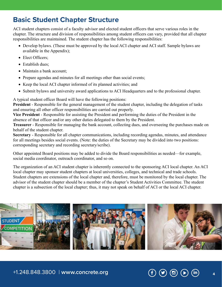## **Basic Student Chapter Structure**

ACI student chapters consist of a faculty advisor and elected student officers that serve various roles in the chapter. The structure and division of responsibilities among student officers can vary, provided that all chapter responsibilities are maintained. The student chapter has the following responsibilities:

- Develop bylaws. (These must be approved by the local ACI chapter and ACI staff. Sample bylaws are available in the Appendix);
- Elect Officers:
- Establish dues:
- Maintain a bank account:
- Prepare agendas and minutes for all meetings other than social events;
- Keep the local ACI chapter informed of its planned activities; and
- Submit bylaws and university award applications to ACI Headquarters and to the professional chapter.

A typical student officer Board will have the following positions:

**President** - Responsible for the general management of the student chapter, including the delegation of tasks and ensuring all other officer responsibilities are carried out properly.

**Vice President** - Responsible for assisting the President and performing the duties of the President in the absence of that officer and/or any other duties delegated to them by the President.

**Treasurer** - Responsible for managing the bank account, collecting dues, and overseeing the purchases made on behalf of the student chapter.

**Secretary** - Responsible for all chapter communications, including recording agendas, minutes, and attendance for all meetings besides social events. (Note: the duties of the Secretary may be divided into two positions: corresponding secretary and recording secretary/scribe).

Other appointed Board positions may be added to divide the Board responsibilities as needed—for example, social media coordinator, outreach coordinator, and so on.

The organization of an ACI student chapter is inherently connected to the sponsoring ACI local chapter. An ACI local chapter may sponsor student chapters at local universities, colleges, and technical and trade schools. Student chapters are extensions of the local chapter and, therefore, must be monitored by the local chapter. The advisor of the student chapter should be a member of the chapter's Student Activities Committee. The student chapter is a subsection of the local chapter; thus, it may not speak on behalf of ACI or the local ACI chapter.



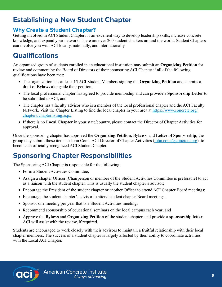## **Establishing a New Student Chapter**

#### **Why Create a Student Chapter?**

Getting involved in ACI Student Chapters is an excellent way to develop leadership skills, increase concrete knowledge, and expand your network. There are over 200 student chapters around the world. Student Chapters can involve you with ACI locally, nationally, and internationally.

## **Qualifications**

An organized group of students enrolled in an educational institution may submit an **Organizing Petition** for review and comment by the Board of Directors of their sponsoring ACI Chapter if all of the following qualifications have been met:

- The organization has at least 15 ACI Student Members signing the **Organizing Petition** and submits a draft of **Bylaws** alongside their petition,
- The local professional chapter has agreed to provide mentorship and can provide a **Sponsorship Letter** to be submitted to ACI, and
- The chapter has a faculty advisor who is a member of the local professional chapter and the ACI Faculty Network. Visit the Chapter Listing to find the local chapter in your area at [https://www.concrete.org/](https://www.concrete.org/chapters/chapterlisting.aspx) [chapters/chapterlisting.aspx.](https://www.concrete.org/chapters/chapterlisting.aspx)
- If there is no **Local Chapter** in your state/country, please contact the [Director of Chapter Activities](mailto:John.Conn%40concrete.org?subject=) for approval.

Once the sponsoring chapter has approved the **Organizing Petition**, **Bylaws**, and **Letter of Sponsorship**, the group may submit these items to John Conn, ACI Director of Chapter Activities ([john.conn@concrete.org](mailto:john.conn@concrete.org)), to become an officially recognized ACI Student Chapter.

# **Sponsoring Chapter Responsibilities**

The Sponsoring ACI Chapter is responsible for the following:

- Form a Student Activities Committee;
- Assign a chapter Officer (Chairperson or member of the Student Activities Committee is preferable) to act as a liaison with the student chapter. This is usually the student chapter's advisor;
- Encourage the President of the student chapter or another Officer to attend ACI Chapter Board meetings;
- Encourage the student chapter's advisor to attend student chapter Board meetings;
- Sponsor one meeting per year that is a Student Activities meeting;
- Recommend sponsorship of educational seminars on the local campus each year; and
- Approve the **Bylaws** and **Organizing Petition** of the student chapter, and provide a **sponsorship letter**. ACI will assist with the review, if required.

Students are encouraged to work closely with their advisors to maintain a fruitful relationship with their local chapter members. The success of a student chapter is largely affected by their ability to coordinate activities with the Local ACI Chapter.

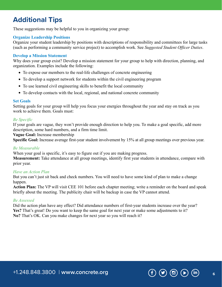## **Additional Tips**

These suggestions may be helpful to you in organizing your group:

#### **Organize Leadership Positions**

Organize your student leadership by positions with descriptions of responsibility and committees for large tasks (such as performing a community service project) to accomplish work. See *[Suggested Student Officer Duties](#page-7-0)*.

#### **Develop a Mission Statement**

Why does your group exist? Develop a mission statement for your group to help with direction, planning, and organization. Examples include the following:

- To expose our members to the real-life challenges of concrete engineering
- To develop a support network for students within the civil engineering program
- To use learned civil engineering skills to benefit the local community
- To develop contacts with the local, regional, and national concrete community

#### **Set Goals**

Setting goals for your group will help you focus your energies throughout the year and stay on track as you work to achieve them. Goals must:

#### *Be Specific*

If your goals are vague, they won't provide enough direction to help you. To make a goal specific, add more description, some hard numbers, and a firm time limit.

**Vague Goal:** Increase membership

**Specific Goal:** Increase average first-year student involvement by 15% at all group meetings over previous year.

#### *Be Measurable*

When your goal is specific, it's easy to figure out if you are making progress.

**Measurement:** Take attendance at all group meetings, identify first year students in attendance, compare with prior year.

#### *Have an Action Plan*

But you can't just sit back and check numbers. You will need to have some kind of plan to make a change happen.

**Action Plan:** The VP will visit CEE 101 before each chapter meeting; write a reminder on the board and speak briefly about the meeting. The publicity chair will be backup in case the VP cannot attend.

#### *Be Assessed*

Did the action plan have any effect? Did attendance numbers of first-year students increase over the year? **Yes?** That's great! Do you want to keep the same goal for next year or make some adjustments to it? **No?** That's OK. Can you make changes for next year so you will reach it?

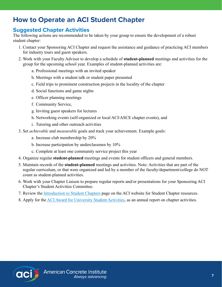## **How to Operate an ACI Student Chapter**

#### **Suggested Chapter Activities**

The following actions are recommended to be taken by your group to ensure the development of a robust student chapter:

- 1. Contact your Sponsoring ACI Chapter and request the assistance and guidance of practicing ACI members for industry tours and guest speakers.
- 2. Work with your Faculty Advisor to develop a schedule of **student-planned** meetings and activities for the group for the upcoming school year. Examples of student-planned activities are:
	- a. Professional meetings with an invited speaker
	- b. Meetings with a student talk or student paper presented
	- c. Field trips to prominent construction projects in the locality of the chapter
	- d. Social functions and game nights
	- e. Officer planning meetings
	- f. Community Service,
	- g. Inviting guest speakers for lectures
	- h. Networking events (self-organized or local ACI/ASCE chapter events), and
	- i. Tutoring and other outreach activities
- 3. Set *achievable* and *measurable* goals and track your achievement. Example goals:
	- a. Increase club membership by 20%
	- b. Increase participation by underclassmen by 10%
	- c. Complete at least one community service project this year
- 4. Organize regular **student-planned** meetings and events for student officers and general members.
- 5. Maintain records of the **student-planned** meetings and activities. Note: Activities that are part of the regular curriculum, or that were organized and led by a member of the faculty/department/college do NOT count as student-planned activities.
- 6. Work with your Chapter Liaison to prepare regular reports and/or presentations for your Sponsoring ACI Chapter's Student Activities Committee.
- 7. Review the **Introduction to Student Chapters** page on the ACI website for Student Chapter resources.
- 8. Apply for the [ACI Award for University Student Activities,](https://www.concrete.org/students/universityaward.aspx) as an annual report on chapter activities.

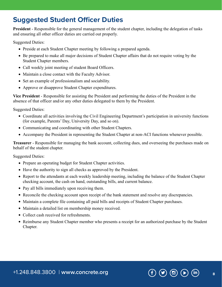#### <span id="page-7-0"></span>**Suggested Student Officer Duties**

**President** - Responsible for the general management of the student chapter, including the delegation of tasks and ensuring all other officer duties are carried out properly.

Suggested Duties:

- Preside at each Student Chapter meeting by following a prepared agenda.
- Be prepared to make all major decisions of Student Chapter affairs that do not require voting by the Student Chapter members.
- Call weekly joint meeting of student Board Officers.
- Maintain a close contact with the Faculty Advisor.
- Set an example of professionalism and sociability.
- Approve or disapprove Student Chapter expenditures.

**Vice President** - Responsible for assisting the President and performing the duties of the President in the absence of that officer and/or any other duties delegated to them by the President.

Suggested Duties:

- Coordinate all activities involving the Civil Engineering Department's participation in university functions (for example, Parents' Day, University Day, and so on).
- Communicating and coordinating with other Student Chapters.
- Accompany the President in representing the Student Chapter at non-ACI functions whenever possible.

**Treasurer** - Responsible for managing the bank account, collecting dues, and overseeing the purchases made on behalf of the student chapter.

Suggested Duties:

- Prepare an operating budget for Student Chapter activities.
- Have the authority to sign all checks as approved by the President.
- Report to the attendants at each weekly leadership meeting, including the balance of the Student Chapter checking account, the cash on hand, outstanding bills, and current balance.
- Pay all bills immediately upon receiving them.
- Reconcile the checking account upon receipt of the bank statement and resolve any discrepancies.
- Maintain a complete file containing all paid bills and receipts of Student Chapter purchases.
- Maintain a detailed list on membership money received.
- Collect cash received for refreshments.
- Reimburse any Student Chapter member who presents a receipt for an authorized purchase by the Student Chapter.

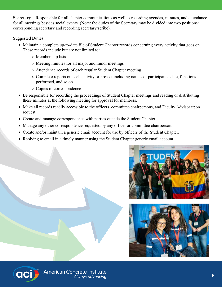**Secretary** - Responsible for all chapter communications as well as recording agendas, minutes, and attendance for all meetings besides social events. (Note: the duties of the Secretary may be divided into two positions: corresponding secretary and recording secretary/scribe).

Suggested Duties:

- Maintain a complete up-to-date file of Student Chapter records concerning every activity that goes on. These records include but are not limited to:
	- Membership lists
	- Meeting minutes for all major and minor meetings
	- Attendance records of each regular Student Chapter meeting
	- Complete reports on each activity or project including names of participants, date, functions performed, and so on
	- Copies of correspondence
- Be responsible for recording the proceedings of Student Chapter meetings and reading or distributing these minutes at the following meeting for approval for members.
- Make all records readily accessible to the officers, committee chairpersons, and Faculty Advisor upon request.
- Create and manage correspondence with parties outside the Student Chapter.
- Manage any other correspondence requested by any officer or committee chairperson.
- Create and/or maintain a generic email account for use by officers of the Student Chapter.
- Replying to email in a timely manner using the Student Chapter generic email account.





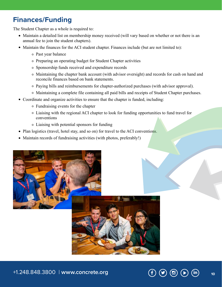#### **Finances/Funding**

The Student Chapter as a whole is required to:

- Maintain a detailed list on membership money received (will vary based on whether or not there is an annual fee to join the student chapters).
- Maintain the finances for the ACI student chapter. Finances include (but are not limited to):
	- Past year balance
	- Preparing an operating budget for Student Chapter activities
	- Sponsorship funds received and expenditure records
	- Maintaining the chapter bank account (with advisor oversight) and records for cash on hand and reconcile finances based on bank statements.
	- Paying bills and reimbursements for chapter-authorized purchases (with advisor approval).
	- Maintaining a complete file containing all paid bills and receipts of Student Chapter purchases.
- Coordinate and organize activities to ensure that the chapter is funded, including:
	- Fundraising events for the chapter
	- Liaising with the regional ACI chapter to look for funding opportunities to fund travel for conventions
	- Liaising with potential sponsors for funding
- Plan logistics (travel, hotel stay, and so on) for travel to the ACI conventions.
- Maintain records of fundraising activities (with photos, preferably!)



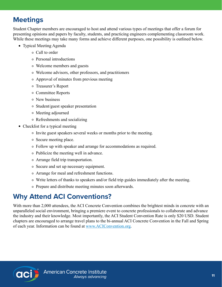## **Meetings**

Student Chapter members are encouraged to host and attend various types of meetings that offer a forum for presenting opinions and papers by faculty, students, and practicing engineers complementing classroom work. While these meetings may take many forms and achieve different purposes, one possibility is outlined below.

- Typical Meeting Agenda
	- Call to order
	- Personal introductions
	- Welcome members and guests
	- Welcome advisors, other professors, and practitioners
	- Approval of minutes from previous meeting
	- Treasurer's Report
	- Committee Reports
	- New business
	- Student/guest speaker presentation
	- Meeting adjourned
	- Refreshments and socializing
- Checklist for a typical meeting
	- Invite guest speakers several weeks or months prior to the meeting.
	- Secure meeting place.
	- Follow up with speaker and arrange for accommodations as required.
	- Publicize the meeting well in advance.
	- Arrange field trip transportation.
	- Secure and set up necessary equipment.
	- Arrange for meal and refreshment functions.
	- Write letters of thanks to speakers and/or field trip guides immediately after the meeting.
	- Prepare and distribute meeting minutes soon afterwards.

# **Why Attend ACI Conventions?**

With more than 2,000 attendees, the ACI Concrete Convention combines the brightest minds in concrete with an unparalleled social environment, bringing a premiere event to concrete professionals to collaborate and advance the industry and their knowledge. Most importantly, the ACI Student Convention Rate is only \$20 USD. Student chapters are encouraged to arrange travel plans to the bi-annual ACI Concrete Convention in the Fall and Spring of each year. Information can be found at [www.ACIConvention.org.](http://www.ACIConvention.org)

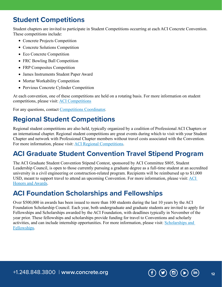#### **Student Competitions**

Student chapters are invited to participate in Student Competitions occurring at each ACI Concrete Convention. These competitions include:

- Concrete Projects Competition
- Concrete Solutions Competition
- Eco Concrete Competition
- FRC Bowling Ball Competition
- FRP Composites Competition
- James Instruments Student Paper Award
- Mortar Workability Competition
- Pervious Concrete Cylinder Competition

At each convention, one of these competitions are held on a rotating basis. For more information on student competitions, please visit: [ACI Competitions](https://www.concrete.org/students/studentcompetitions.aspx)

For any questions, contact [Competitions Coordinator.](mailto:students%40concrete.org?subject=)

## **Regional Student Competitions**

Regional student competitions are also held, typically organized by a coalition of Professional ACI Chapters or an international chapter. Regional student competitions are great events during which to visit with your Student Chapter and network with Professional Chapter members without travel costs associated with the Convention. For more information, please visit: [ACI Regional Competitions.](https://www.concrete.org/students/studentcompetitions/regionalconcretecompetitions.aspx.)

## **ACI Graduate Student Convention Travel Stipend Program**

The ACI Graduate Student Convention Stipend Contest, sponsored by ACI Committee S805, Student Leadership Council, is open to those currently pursuing a graduate degree as a full-time student at an accredited university in a civil engineering or construction-related program. Recipients will be reimbursed up to \$1,000 USD, meant to support travel to attend an upcoming Convention. For more information, please visit: [ACI](https://www.concrete.org/aboutaci/honorsandawards/awards/otherawards.aspx)  [Honors and Awards](https://www.concrete.org/aboutaci/honorsandawards/awards/otherawards.aspx).

#### **ACI Foundation Scholarships and Fellowships**

Over \$500,000 in awards has been issued to more than 100 students during the last 10 years by the ACI Foundation Scholarship Council. Each year, both undergraduate and graduate students are invited to apply for Fellowships and Scholarships awarded by the ACI Foundation, with deadlines typically in November of the year prior. These fellowships and scholarships provide funding for travel to Conventions and scholarly activities, and can include internship opportunities. For more information, please visit: [Scholarships and](https://www.acifoundation.org/scholarships.aspx)  [Fellowships](https://www.acifoundation.org/scholarships.aspx).

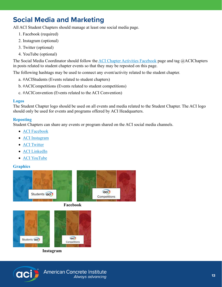# **Social Media and Marketing**

All ACI Student Chapters should manage at least one social media page.

- 1. Facebook (required)
- 2. Instagram (optional)
- 3. Twitter (optional)
- 4. YouTube (optional)

The Social Media Coordinator should follow the [ACI Chapter Activities Facebook](https://www.facebook.com/ACIChapters) page and tag @ACIChapters in posts related to student chapter events so that they may be reposted on this page.

The following hashtags may be used to connect any event/activity related to the student chapter.

- a. #ACIStudents (Events related to student chapters)
- b. #ACICompetitions (Events related to student competitions)
- c. #ACIConvention (Events related to the ACI Convention)

#### **Logos**

The Student Chapter logo should be used on all events and media related to the Student Chapter. The ACI logo should only be used for events and programs offered by ACI Headquarters.

#### **Reposting**

Student Chapters can share any events or program shared on the ACI social media channels.

- [ACI Facebook](https://www.facebook.com/pages/American-Concrete-Institute-ACI/79308249901)
- [ACI Instagram](https://www.instagram.com/concreteaci/)
- **ACI** Twitter
- [ACI LinkedIn](https://twitter.com/concreteaci)
- [ACI YouTube](https://www.youtube.com/americanconcreteinst)

#### **Graphics**



**Facebook** 



**Instagram**